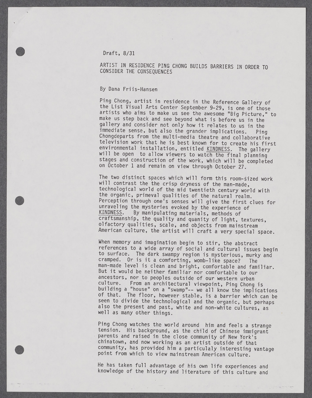## Draft, **8/31**

**I m**  $\frac{1}{2}$  **m**  $\frac{1}{2}$  **m**  $\frac{1}{2}$  **m**  $\frac{1}{2}$  **m**  $\frac{1}{2}$  **m**  $\frac{1}{2}$  **m**  $\frac{1}{2}$  **m**  $\frac{1}{2}$  **m**  $\frac{1}{2}$  **m**  $\frac{1}{2}$  **m**  $\frac{1}{2}$  **m**  $\frac{1}{2}$  **m**  $\frac{1}{2}$  **m**  $\frac{1}{2}$  **m**  $\frac{1}{2}$  **m**  $\frac{$ 

**I**

## ARTIST IN RESIDENCE PING **CHONG BUILDS** BARRIERS IN ORDER TO CONSIDER THE **CONSEQUENCES**

## **By** Dana Friis-Hansen

Ping Chong, artist in residence in the Reference Gallery of the List Visual Arts Center September **9-29,** is one of those artists who aims to make us see the awesome "Big Picture," to make us step back and see beyond what is before us in the gallery and consider not only how it relates to us in the immediate sense, but also the grander implications. Pine immediate sense, but also the grander implications. Ping Chongdeparts from the multi-media theatre and collaborative television work that he is best known for to create his first<br>environmental installation, entitled KINDNESS. The gallery will be open to allow viewers to watch the final planning stages and construction of the work, which will be completed on October **1** and remain on view through October **27.**

The two distinct spaces which will form this room-sized work will contrast the the crisp dryness of the man-made, technological world of the mid twentieth century world with the organic, primeval qualities of the natural realm. Perception through one's senses will give the first clues for unraveling the mysteries evoked **by** the experience of By manipulating materials, methods of craftsmanship, the quality and quanity of light, textures, olfactory qualities, scale, and objects from mainstream American culture, the artist will craft a very special space.

When memory and imagination begin to stir, the abstract<br>references to a wide array of social and cultural issues begin to surface. The dark swampy region is mysterious, murky and cramped. Or is it a comforting, womb-like space? The man-made level is clean and bright, comfortable and familiar. But it would be neither familiar nor comfortable to our ancestors, nor to peoples outside of our western urban<br>culture. From an architectural viewpoint, Ping Chong From an architectural viewpoint, Ping Chong is building a "house" on a "swamp"-- we all know the implications of that. The floor, however stable, is a barrier which can be seen to divide the technological and the organic, but perhaps also the present and past, white and non-white cultures, as well as many other things.

Ping Chong watches the world around him and feels a strange tension. His background, as the child of Chinese immigrant parents and raised in the close community of New York's chinatown, and now working as an artist outside of that community, has provided him a particulaly interesting vantage point from which to view mainstream American culture.

He has taken full advantage of his own life experiences and knowledge of the history and literature of this culture and

**m**

**I**